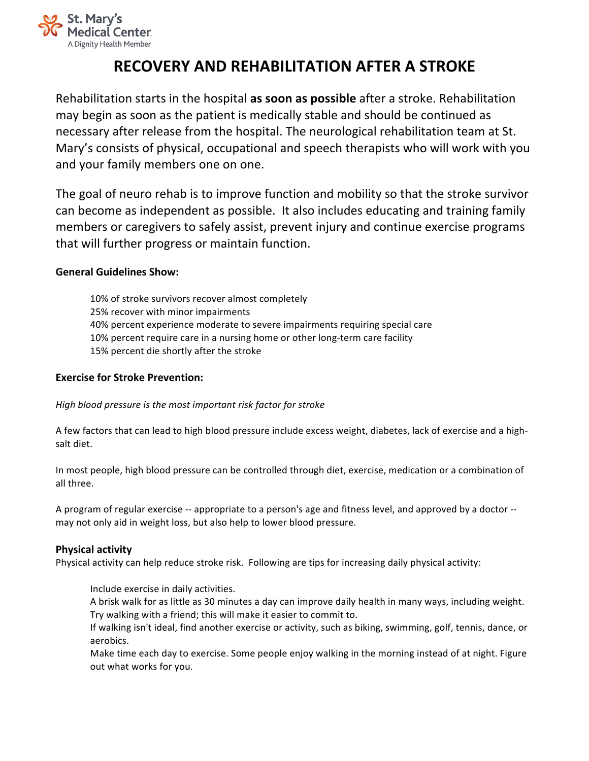

# **RECOVERY AND REHABILITATION AFTER A STROKE**

Rehabilitation starts in the hospital **as soon as possible** after a stroke. Rehabilitation may begin as soon as the patient is medically stable and should be continued as necessary after release from the hospital. The neurological rehabilitation team at St. Mary's consists of physical, occupational and speech therapists who will work with you and your family members one on one.

The goal of neuro rehab is to improve function and mobility so that the stroke survivor can become as independent as possible. It also includes educating and training family members or caregivers to safely assist, prevent injury and continue exercise programs that will further progress or maintain function.

## **General Guidelines Show:**

10% of stroke survivors recover almost completely 25% recover with minor impairments 40% percent experience moderate to severe impairments requiring special care 10% percent require care in a nursing home or other long-term care facility 15% percent die shortly after the stroke

#### **Exercise for Stroke Prevention:**

High blood pressure is the most important risk factor for stroke

A few factors that can lead to high blood pressure include excess weight, diabetes, lack of exercise and a highsalt diet.

In most people, high blood pressure can be controlled through diet, exercise, medication or a combination of all three.

A program of regular exercise -- appropriate to a person's age and fitness level, and approved by a doctor -may not only aid in weight loss, but also help to lower blood pressure.

# **Physical activity**

Physical activity can help reduce stroke risk. Following are tips for increasing daily physical activity:

Include exercise in daily activities.

A brisk walk for as little as 30 minutes a day can improve daily health in many ways, including weight. Try walking with a friend; this will make it easier to commit to.

If walking isn't ideal, find another exercise or activity, such as biking, swimming, golf, tennis, dance, or aerobics. 

Make time each day to exercise. Some people enjoy walking in the morning instead of at night. Figure out what works for you.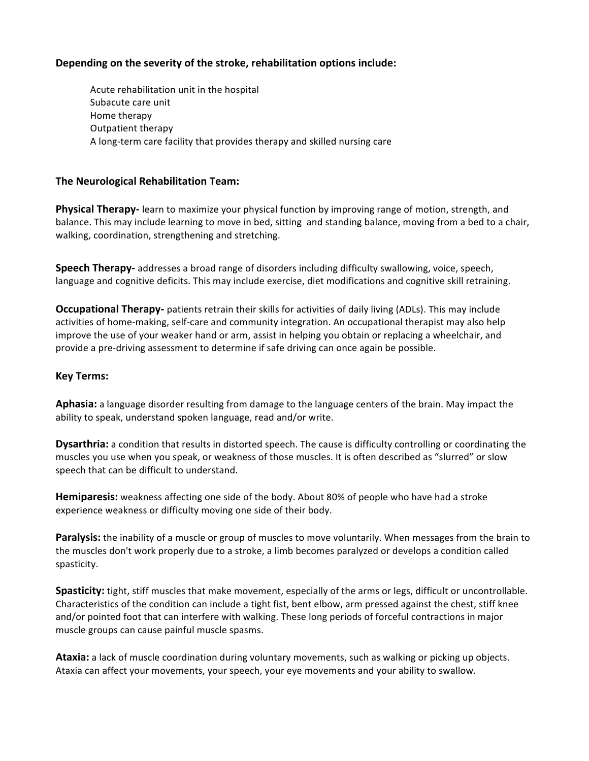## Depending on the severity of the stroke, rehabilitation options include:

Acute rehabilitation unit in the hospital Subacute care unit Home therapy Outpatient therapy A long-term care facility that provides therapy and skilled nursing care

#### **The Neurological Rehabilitation Team:**

**Physical Therapy-** learn to maximize your physical function by improving range of motion, strength, and balance. This may include learning to move in bed, sitting and standing balance, moving from a bed to a chair, walking, coordination, strengthening and stretching.

**Speech Therapy-** addresses a broad range of disorders including difficulty swallowing, voice, speech, language and cognitive deficits. This may include exercise, diet modifications and cognitive skill retraining.

**Occupational Therapy-** patients retrain their skills for activities of daily living (ADLs). This may include activities of home-making, self-care and community integration. An occupational therapist may also help improve the use of your weaker hand or arm, assist in helping you obtain or replacing a wheelchair, and provide a pre-driving assessment to determine if safe driving can once again be possible.

#### **Key Terms:**

Aphasia: a language disorder resulting from damage to the language centers of the brain. May impact the ability to speak, understand spoken language, read and/or write.

**Dysarthria:** a condition that results in distorted speech. The cause is difficulty controlling or coordinating the muscles you use when you speak, or weakness of those muscles. It is often described as "slurred" or slow speech that can be difficult to understand.

**Hemiparesis:** weakness affecting one side of the body. About 80% of people who have had a stroke experience weakness or difficulty moving one side of their body.

**Paralysis:** the inability of a muscle or group of muscles to move voluntarily. When messages from the brain to the muscles don't work properly due to a stroke, a limb becomes paralyzed or develops a condition called spasticity.

**Spasticity:** tight, stiff muscles that make movement, especially of the arms or legs, difficult or uncontrollable. Characteristics of the condition can include a tight fist, bent elbow, arm pressed against the chest, stiff knee and/or pointed foot that can interfere with walking. These long periods of forceful contractions in major muscle groups can cause painful muscle spasms.

Ataxia: a lack of muscle coordination during voluntary movements, such as walking or picking up objects. Ataxia can affect your movements, your speech, your eye movements and your ability to swallow.